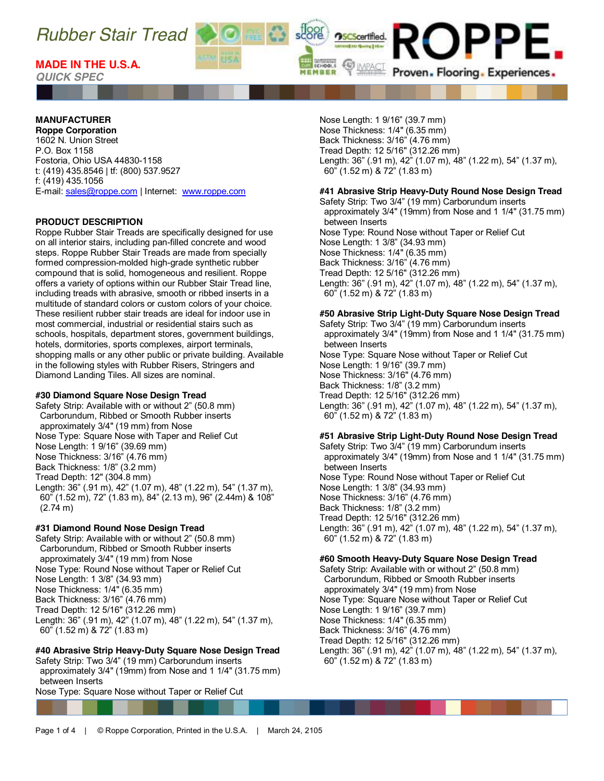

*QUICK SPEC*

## **MANUFACTURER**

**Roppe Corporation** 1602 N. Union Street P.O. Box 1158 Fostoria, Ohio USA 44830-1158 t: (419) 435.8546 | tf: (800) 537.9527 f: (419) 435.1056 E-mail[: sales@roppe.com](mailto:sales@roppe.com) | Internet: [www.roppe.com](http://www.roppe.com/)

#### **PRODUCT DESCRIPTION**

Roppe Rubber Stair Treads are specifically designed for use on all interior stairs, including pan-filled concrete and wood steps. Roppe Rubber Stair Treads are made from specially formed compression-molded high-grade synthetic rubber compound that is solid, homogeneous and resilient. Roppe offers a variety of options within our Rubber Stair Tread line, including treads with abrasive, smooth or ribbed inserts in a multitude of standard colors or custom colors of your choice. These resilient rubber stair treads are ideal for indoor use in most commercial, industrial or residential stairs such as schools, hospitals, department stores, government buildings, hotels, dormitories, sports complexes, airport terminals, shopping malls or any other public or private building. Available in the following styles with Rubber Risers, Stringers and Diamond Landing Tiles. All sizes are nominal.

#### **#30 Diamond Square Nose Design Tread**

Safety Strip: Available with or without 2" (50.8 mm) Carborundum, Ribbed or Smooth Rubber inserts approximately 3/4" (19 mm) from Nose Nose Type: Square Nose with Taper and Relief Cut Nose Length: 1 9/16" (39.69 mm) Nose Thickness: 3/16" (4.76 mm) Back Thickness: 1/8" (3.2 mm) Tread Depth: 12" (304.8 mm) Length: 36" (.91 m), 42" (1.07 m), 48" (1.22 m), 54" (1.37 m), 60" (1.52 m), 72" (1.83 m), 84" (2.13 m), 96" (2.44m) & 108"  $(2.74 \text{ m})$ 

#### **#31 Diamond Round Nose Design Tread**

Safety Strip: Available with or without 2" (50.8 mm) Carborundum, Ribbed or Smooth Rubber inserts approximately 3/4" (19 mm) from Nose Nose Type: Round Nose without Taper or Relief Cut Nose Length: 1 3/8" (34.93 mm) Nose Thickness: 1/4" (6.35 mm) Back Thickness: 3/16" (4.76 mm) Tread Depth: 12 5/16" (312.26 mm) Length: 36" (.91 m), 42" (1.07 m), 48" (1.22 m), 54" (1.37 m), 60" (1.52 m) & 72" (1.83 m)

## **#40 Abrasive Strip Heavy-Duty Square Nose Design Tread**

Safety Strip: Two 3/4" (19 mm) Carborundum inserts approximately 3/4" (19mm) from Nose and 1 1/4" (31.75 mm) between Inserts

Nose Type: Square Nose without Taper or Relief Cut

Nose Length: 1 9/16" (39.7 mm) Nose Thickness: 1/4" (6.35 mm) Back Thickness: 3/16" (4.76 mm) Tread Depth: 12 5/16" (312.26 mm) Length: 36" (.91 m), 42" (1.07 m), 48" (1.22 m), 54" (1.37 m), 60" (1.52 m) & 72" (1.83 m)

PPE.

Proven. Flooring. Experiences.

**OSCScertified.** 

SCHOOLS

## **#41 Abrasive Strip Heavy-Duty Round Nose Design Tread**

Safety Strip: Two 3/4" (19 mm) Carborundum inserts approximately 3/4" (19mm) from Nose and 1 1/4" (31.75 mm) between Inserts Nose Type: Round Nose without Taper or Relief Cut Nose Length: 1 3/8" (34.93 mm) Nose Thickness: 1/4" (6.35 mm) Back Thickness: 3/16" (4.76 mm) Tread Depth: 12 5/16" (312.26 mm) Length: 36" (.91 m), 42" (1.07 m), 48" (1.22 m), 54" (1.37 m), 60" (1.52 m) & 72" (1.83 m)

## **#50 Abrasive Strip Light-Duty Square Nose Design Tread**

Safety Strip: Two 3/4" (19 mm) Carborundum inserts approximately 3/4" (19mm) from Nose and 1 1/4" (31.75 mm) between Inserts Nose Type: Square Nose without Taper or Relief Cut Nose Length: 1 9/16" (39.7 mm) Nose Thickness: 3/16" (4.76 mm) Back Thickness: 1/8" (3.2 mm) Tread Depth: 12 5/16" (312.26 mm) Length: 36" (.91 m), 42" (1.07 m), 48" (1.22 m), 54" (1.37 m), 60" (1.52 m) & 72" (1.83 m)

## **#51 Abrasive Strip Light-Duty Round Nose Design Tread**

Safety Strip: Two 3/4" (19 mm) Carborundum inserts approximately 3/4" (19mm) from Nose and 1 1/4" (31.75 mm) between Inserts Nose Type: Round Nose without Taper or Relief Cut Nose Length: 1 3/8" (34.93 mm) Nose Thickness: 3/16" (4.76 mm) Back Thickness: 1/8" (3.2 mm) Tread Depth: 12 5/16" (312.26 mm) Length: 36" (.91 m), 42" (1.07 m), 48" (1.22 m), 54" (1.37 m), 60" (1.52 m) & 72" (1.83 m)

#### **#60 Smooth Heavy-Duty Square Nose Design Tread**

Safety Strip: Available with or without 2" (50.8 mm) Carborundum, Ribbed or Smooth Rubber inserts approximately 3/4" (19 mm) from Nose Nose Type: Square Nose without Taper or Relief Cut Nose Length: 1 9/16" (39.7 mm) Nose Thickness: 1/4" (6.35 mm) Back Thickness: 3/16" (4.76 mm) Tread Depth: 12 5/16" (312.26 mm) Length: 36" (.91 m), 42" (1.07 m), 48" (1.22 m), 54" (1.37 m), 60" (1.52 m) & 72" (1.83 m)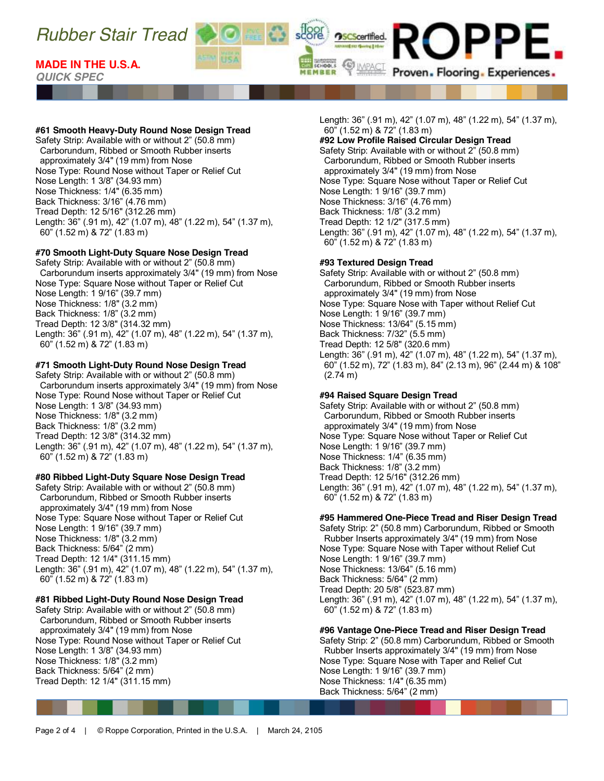## **MADE IN THE U.S.A.**

*QUICK SPEC*

## **#61 Smooth Heavy-Duty Round Nose Design Tread**

Safety Strip: Available with or without 2" (50.8 mm) Carborundum, Ribbed or Smooth Rubber inserts approximately 3/4" (19 mm) from Nose Nose Type: Round Nose without Taper or Relief Cut Nose Length: 1 3/8" (34.93 mm) Nose Thickness: 1/4" (6.35 mm) Back Thickness: 3/16" (4.76 mm) Tread Depth: 12 5/16" (312.26 mm) Length: 36" (.91 m), 42" (1.07 m), 48" (1.22 m), 54" (1.37 m), 60" (1.52 m) & 72" (1.83 m)

## **#70 Smooth Light-Duty Square Nose Design Tread**

Safety Strip: Available with or without 2" (50.8 mm) Carborundum inserts approximately 3/4" (19 mm) from Nose Nose Type: Square Nose without Taper or Relief Cut Nose Length: 1 9/16" (39.7 mm) Nose Thickness: 1/8" (3.2 mm) Back Thickness: 1/8" (3.2 mm) Tread Depth: 12 3/8" (314.32 mm) Length: 36" (.91 m), 42" (1.07 m), 48" (1.22 m), 54" (1.37 m), 60" (1.52 m) & 72" (1.83 m)

## **#71 Smooth Light-Duty Round Nose Design Tread**

Safety Strip: Available with or without 2" (50.8 mm) Carborundum inserts approximately 3/4" (19 mm) from Nose Nose Type: Round Nose without Taper or Relief Cut Nose Length: 1 3/8" (34.93 mm) Nose Thickness: 1/8" (3.2 mm) Back Thickness: 1/8" (3.2 mm) Tread Depth: 12 3/8" (314.32 mm) Length: 36" (.91 m), 42" (1.07 m), 48" (1.22 m), 54" (1.37 m), 60" (1.52 m) & 72" (1.83 m)

## **#80 Ribbed Light-Duty Square Nose Design Tread**

Safety Strip: Available with or without 2" (50.8 mm) Carborundum, Ribbed or Smooth Rubber inserts approximately 3/4" (19 mm) from Nose Nose Type: Square Nose without Taper or Relief Cut Nose Length: 1 9/16" (39.7 mm) Nose Thickness: 1/8" (3.2 mm) Back Thickness: 5/64" (2 mm) Tread Depth: 12 1/4" (311.15 mm) Length: 36" (.91 m), 42" (1.07 m), 48" (1.22 m), 54" (1.37 m), 60" (1.52 m) & 72" (1.83 m)

#### **#81 Ribbed Light-Duty Round Nose Design Tread**

Safety Strip: Available with or without 2" (50.8 mm) Carborundum, Ribbed or Smooth Rubber inserts approximately 3/4" (19 mm) from Nose Nose Type: Round Nose without Taper or Relief Cut Nose Length: 1 3/8" (34.93 mm) Nose Thickness: 1/8" (3.2 mm) Back Thickness: 5/64" (2 mm) Tread Depth: 12 1/4" (311.15 mm)

Length: 36" (.91 m), 42" (1.07 m), 48" (1.22 m), 54" (1.37 m), 60" (1.52 m) & 72" (1.83 m)

Proven. Flooring. Experiences.

## **#92 Low Profile Raised Circular Design Tread**

Safety Strip: Available with or without 2" (50.8 mm) Carborundum, Ribbed or Smooth Rubber inserts approximately 3/4" (19 mm) from Nose Nose Type: Square Nose without Taper or Relief Cut Nose Length: 1 9/16" (39.7 mm) Nose Thickness: 3/16" (4.76 mm) Back Thickness: 1/8" (3.2 mm) Tread Depth: 12 1/2" (317.5 mm) Length: 36" (.91 m), 42" (1.07 m), 48" (1.22 m), 54" (1.37 m), 60" (1.52 m) & 72" (1.83 m)

## **#93 Textured Design Tread**

**OSCScertified.** 

SCHOOLS

MEMBER

Safety Strip: Available with or without 2" (50.8 mm) Carborundum, Ribbed or Smooth Rubber inserts approximately 3/4" (19 mm) from Nose Nose Type: Square Nose with Taper without Relief Cut Nose Length: 1 9/16" (39.7 mm) Nose Thickness: 13/64" (5.15 mm) Back Thickness: 7/32" (5.5 mm) Tread Depth: 12 5/8" (320.6 mm) Length: 36" (.91 m), 42" (1.07 m), 48" (1.22 m), 54" (1.37 m), 60" (1.52 m), 72" (1.83 m), 84" (2.13 m), 96" (2.44 m) & 108" (2.74 m)

## **#94 Raised Square Design Tread**

Safety Strip: Available with or without 2" (50.8 mm) Carborundum, Ribbed or Smooth Rubber inserts approximately 3/4" (19 mm) from Nose Nose Type: Square Nose without Taper or Relief Cut Nose Length: 1 9/16" (39.7 mm) Nose Thickness: 1/4" (6.35 mm) Back Thickness: 1/8" (3.2 mm) Tread Depth: 12 5/16" (312.26 mm) Length: 36" (.91 m), 42" (1.07 m), 48" (1.22 m), 54" (1.37 m), 60" (1.52 m) & 72" (1.83 m)

## **#95 Hammered One-Piece Tread and Riser Design Tread**

Safety Strip: 2" (50.8 mm) Carborundum, Ribbed or Smooth Rubber Inserts approximately 3/4" (19 mm) from Nose Nose Type: Square Nose with Taper without Relief Cut Nose Length: 1 9/16" (39.7 mm) Nose Thickness: 13/64" (5.16 mm) Back Thickness: 5/64" (2 mm) Tread Depth: 20 5/8" (523.87 mm) Length: 36" (.91 m), 42" (1.07 m), 48" (1.22 m), 54" (1.37 m), 60" (1.52 m) & 72" (1.83 m)

## **#96 Vantage One-Piece Tread and Riser Design Tread**

Safety Strip: 2" (50.8 mm) Carborundum, Ribbed or Smooth Rubber Inserts approximately 3/4" (19 mm) from Nose Nose Type: Square Nose with Taper and Relief Cut Nose Length: 1 9/16" (39.7 mm) Nose Thickness: 1/4" (6.35 mm) Back Thickness: 5/64" (2 mm)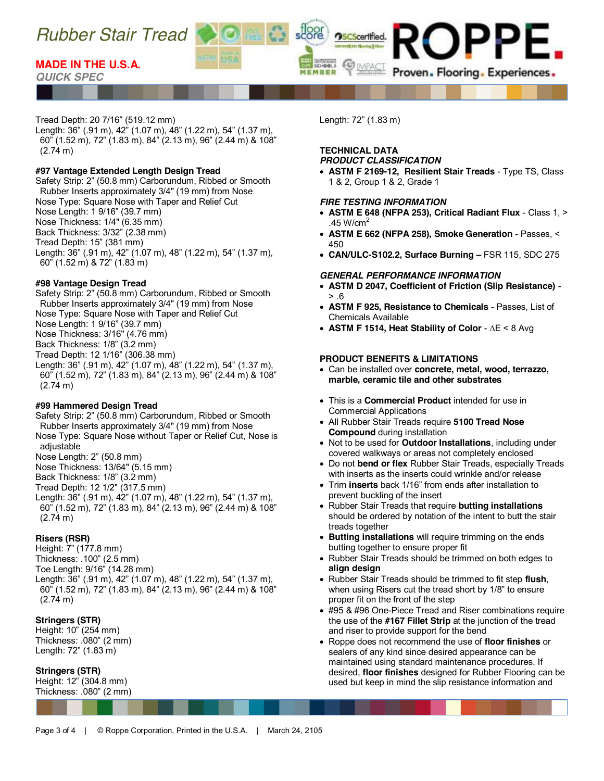

## *QUICK SPEC*

## Tread Depth: 20 7/16" (519.12 mm)

Length: 36" (.91 m), 42" (1.07 m), 48" (1.22 m), 54" (1.37 m), 60" (1.52 m), 72" (1.83 m), 84" (2.13 m), 96" (2.44 m) & 108" (2.74 m)

### **#97 Vantage Extended Length Design Tread**

Safety Strip: 2" (50.8 mm) Carborundum, Ribbed or Smooth Rubber Inserts approximately 3/4" (19 mm) from Nose Nose Type: Square Nose with Taper and Relief Cut Nose Length: 1 9/16" (39.7 mm) Nose Thickness: 1/4" (6.35 mm) Back Thickness: 3/32" (2.38 mm) Tread Depth: 15" (381 mm) Length: 36" (.91 m), 42" (1.07 m), 48" (1.22 m), 54" (1.37 m), 60" (1.52 m) & 72" (1.83 m)

## **#98 Vantage Design Tread**

Safety Strip: 2" (50.8 mm) Carborundum, Ribbed or Smooth Rubber Inserts approximately 3/4" (19 mm) from Nose Nose Type: Square Nose with Taper and Relief Cut Nose Length: 1 9/16" (39.7 mm) Nose Thickness: 3/16" (4.76 mm) Back Thickness: 1/8" (3.2 mm) Tread Depth: 12 1/16" (306.38 mm) Length: 36" (.91 m), 42" (1.07 m), 48" (1.22 m), 54" (1.37 m), 60" (1.52 m), 72" (1.83 m), 84" (2.13 m), 96" (2.44 m) & 108" (2.74 m)

#### **#99 Hammered Design Tread**

Safety Strip: 2" (50.8 mm) Carborundum, Ribbed or Smooth Rubber Inserts approximately 3/4" (19 mm) from Nose Nose Type: Square Nose without Taper or Relief Cut, Nose is adjustable Nose Length: 2" (50.8 mm) Nose Thickness: 13/64" (5.15 mm)

Back Thickness: 1/8" (3.2 mm)

Tread Depth: 12 1/2" (317.5 mm)

Length: 36" (.91 m), 42" (1.07 m), 48" (1.22 m), 54" (1.37 m), 60" (1.52 m), 72" (1.83 m), 84" (2.13 m), 96" (2.44 m) & 108" (2.74 m)

## **Risers (RSR)**

Height: 7" (177.8 mm) Thickness: .100" (2.5 mm) Toe Length: 9/16" (14.28 mm) Length: 36" (.91 m), 42" (1.07 m), 48" (1.22 m), 54" (1.37 m), 60" (1.52 m), 72" (1.83 m), 84" (2.13 m), 96" (2.44 m) & 108" (2.74 m)

## **Stringers (STR)**

Height: 10" (254 mm) Thickness: .080" (2 mm) Length: 72" (1.83 m)

## **Stringers (STR)**

Height: 12" (304.8 mm) Thickness: .080" (2 mm) Length: 72" (1.83 m)

**OSCScertified.** 

SCHOOLS

MEMBER

#### **TECHNICAL DATA** *PRODUCT CLASSIFICATION*

x **ASTM F 2169-12, Resilient Stair Treads** - Type TS, Class 1 & 2, Group 1 & 2, Grade 1

PPE.

Proven. Flooring. Experiences.

#### *FIRE TESTING INFORMATION*

- x **ASTM E 648 (NFPA 253), Critical Radiant Flux** Class 1, > .45 W/cm<sup>2</sup>
- x **ASTM E 662 (NFPA 258), Smoke Generation** Passes, < 450
- x **CAN/ULC-S102.2, Surface Burning –** FSR 115, SDC 275

#### *GENERAL PERFORMANCE INFORMATION*

- x **ASTM D 2047, Coefficient of Friction (Slip Resistance)**   $> .6$
- x **ASTM F 925, Resistance to Chemicals**  Passes, List of Chemicals Available
- x **ASTM F 1514, Heat Stability of Color**  ∆E < 8 Avg

## **PRODUCT BENEFITS & LIMITATIONS**

- x Can be installed over **concrete, metal, wood, terrazzo, marble, ceramic tile and other substrates**
- **This is a Commercial Product intended for use in** Commercial Applications
- x All Rubber Stair Treads require **5100 Tread Nose Compound** during installation
- Not to be used for **Outdoor Installations**, including under covered walkways or areas not completely enclosed
- x Do not **bend or flex** Rubber Stair Treads, especially Treads with inserts as the inserts could wrinkle and/or release
- Trim **inserts** back 1/16" from ends after installation to prevent buckling of the insert
- **Rubber Stair Treads that require butting installations** should be ordered by notation of the intent to butt the stair treads together
- **Butting installations** will require trimming on the ends butting together to ensure proper fit
- Rubber Stair Treads should be trimmed on both edges to **align design**
- x Rubber Stair Treads should be trimmed to fit step **flush**, when using Risers cut the tread short by 1/8" to ensure proper fit on the front of the step
- #95 & #96 One-Piece Tread and Riser combinations require the use of the **#167 Fillet Strip** at the junction of the tread and riser to provide support for the bend
- x Roppe does not recommend the use of **floor finishes** or sealers of any kind since desired appearance can be maintained using standard maintenance procedures. If desired, **floor finishes** designed for Rubber Flooring can be used but keep in mind the slip resistance information and